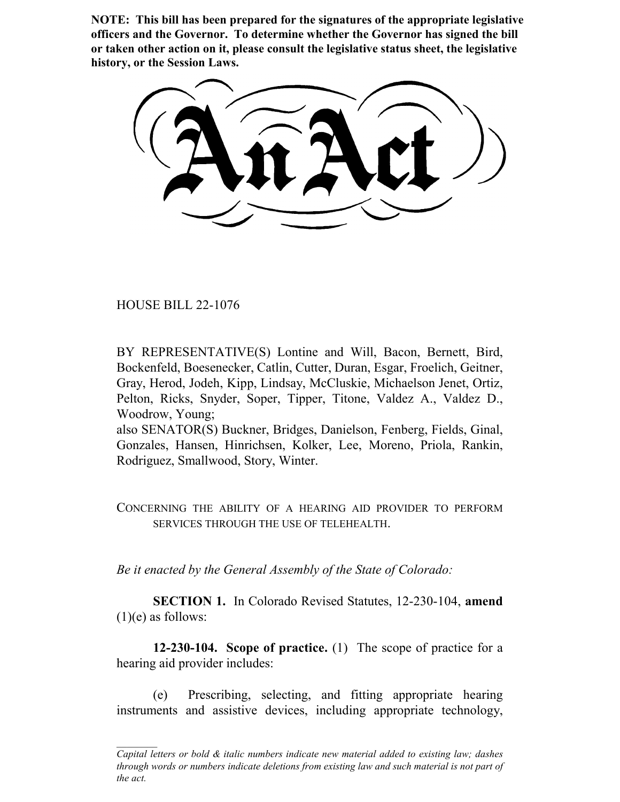**NOTE: This bill has been prepared for the signatures of the appropriate legislative officers and the Governor. To determine whether the Governor has signed the bill or taken other action on it, please consult the legislative status sheet, the legislative history, or the Session Laws.**

HOUSE BILL 22-1076

BY REPRESENTATIVE(S) Lontine and Will, Bacon, Bernett, Bird, Bockenfeld, Boesenecker, Catlin, Cutter, Duran, Esgar, Froelich, Geitner, Gray, Herod, Jodeh, Kipp, Lindsay, McCluskie, Michaelson Jenet, Ortiz, Pelton, Ricks, Snyder, Soper, Tipper, Titone, Valdez A., Valdez D., Woodrow, Young;

also SENATOR(S) Buckner, Bridges, Danielson, Fenberg, Fields, Ginal, Gonzales, Hansen, Hinrichsen, Kolker, Lee, Moreno, Priola, Rankin, Rodriguez, Smallwood, Story, Winter.

CONCERNING THE ABILITY OF A HEARING AID PROVIDER TO PERFORM SERVICES THROUGH THE USE OF TELEHEALTH.

*Be it enacted by the General Assembly of the State of Colorado:*

**SECTION 1.** In Colorado Revised Statutes, 12-230-104, **amend**  $(1)(e)$  as follows:

**12-230-104. Scope of practice.** (1) The scope of practice for a hearing aid provider includes:

(e) Prescribing, selecting, and fitting appropriate hearing instruments and assistive devices, including appropriate technology,

*Capital letters or bold & italic numbers indicate new material added to existing law; dashes through words or numbers indicate deletions from existing law and such material is not part of the act.*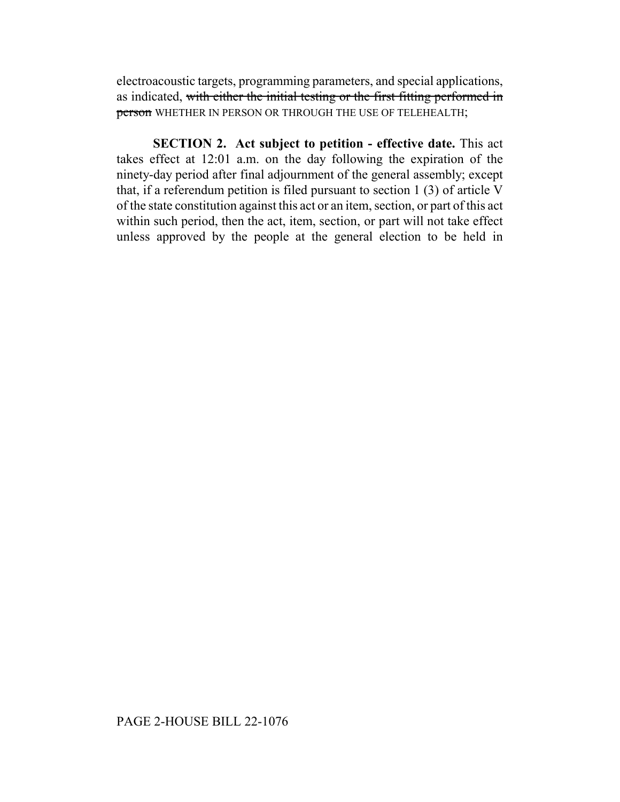electroacoustic targets, programming parameters, and special applications, as indicated, with either the initial testing or the first fitting performed in person WHETHER IN PERSON OR THROUGH THE USE OF TELEHEALTH;

**SECTION 2. Act subject to petition - effective date.** This act takes effect at 12:01 a.m. on the day following the expiration of the ninety-day period after final adjournment of the general assembly; except that, if a referendum petition is filed pursuant to section 1 (3) of article V of the state constitution against this act or an item, section, or part of this act within such period, then the act, item, section, or part will not take effect unless approved by the people at the general election to be held in